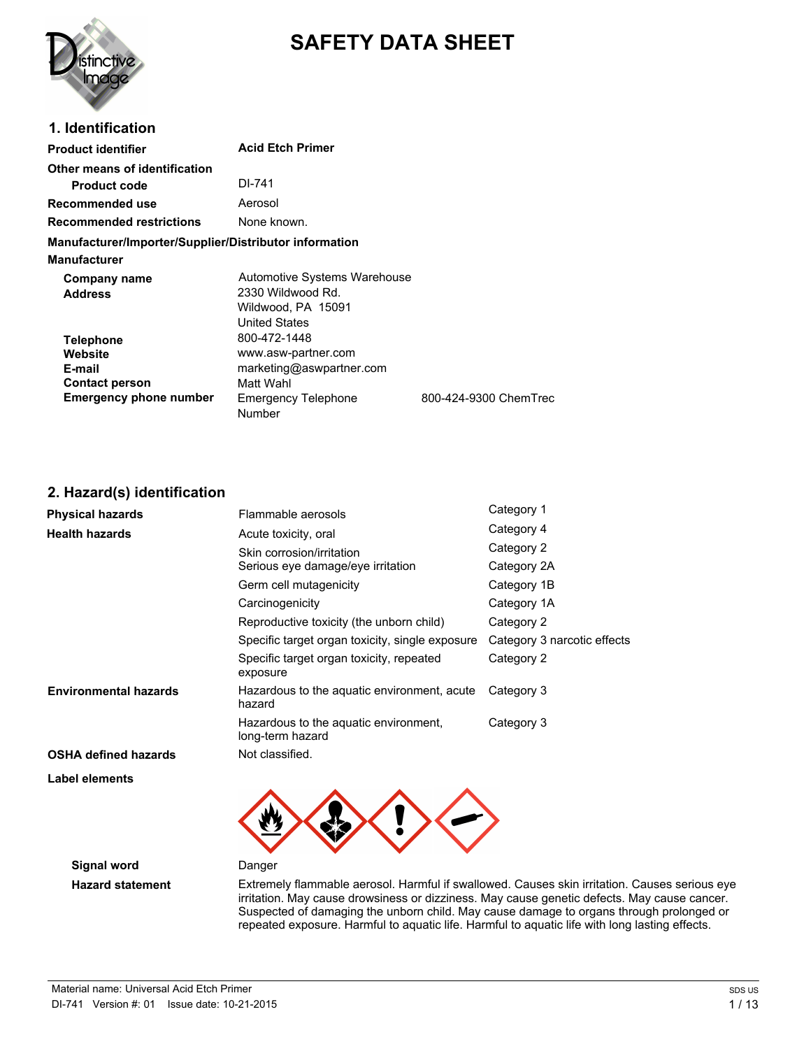

# **SAFETY DATA SHEET**

# **1. Identification**

| <b>Product identifier</b>                                                                       | <b>Acid Etch Primer</b>                                                                         |                       |
|-------------------------------------------------------------------------------------------------|-------------------------------------------------------------------------------------------------|-----------------------|
| Other means of identification<br><b>Product code</b>                                            | DI-741                                                                                          |                       |
| Recommended use                                                                                 | Aerosol                                                                                         |                       |
| <b>Recommended restrictions</b>                                                                 | None known.                                                                                     |                       |
| Manufacturer/Importer/Supplier/Distributor information                                          |                                                                                                 |                       |
| Manufacturer                                                                                    |                                                                                                 |                       |
| <b>Company name</b><br><b>Address</b>                                                           | Automotive Systems Warehouse<br>2330 Wildwood Rd.<br>Wildwood, PA 15091<br><b>United States</b> |                       |
| <b>Telephone</b><br>Website<br>E-mail<br><b>Contact person</b><br><b>Emergency phone number</b> | 800-472-1448<br>www.asw-partner.com<br>marketing@aswpartner.com<br>Matt Wahl                    |                       |
|                                                                                                 | <b>Emergency Telephone</b><br>Number                                                            | 800-424-9300 ChemTrec |

# **2. Hazard(s) identification**

| <b>Physical hazards</b>      | Flammable aerosols                                        | Category 1                  |
|------------------------------|-----------------------------------------------------------|-----------------------------|
| <b>Health hazards</b>        | Acute toxicity, oral                                      | Category 4                  |
|                              | Skin corrosion/irritation                                 | Category 2                  |
|                              | Serious eye damage/eye irritation                         | Category 2A                 |
|                              | Germ cell mutagenicity                                    | Category 1B                 |
|                              | Carcinogenicity                                           | Category 1A                 |
|                              | Reproductive toxicity (the unborn child)                  | Category 2                  |
|                              | Specific target organ toxicity, single exposure           | Category 3 narcotic effects |
|                              | Specific target organ toxicity, repeated<br>exposure      | Category 2                  |
| <b>Environmental hazards</b> | Hazardous to the aquatic environment, acute<br>hazard     | Category 3                  |
|                              | Hazardous to the aquatic environment,<br>long-term hazard | Category 3                  |
| <b>OSHA defined hazards</b>  | Not classified.                                           |                             |
| Label elements               |                                                           |                             |



**Signal word** Danger

**Hazard statement** Extremely flammable aerosol. Harmful if swallowed. Causes skin irritation. Causes serious eye irritation. May cause drowsiness or dizziness. May cause genetic defects. May cause cancer. Suspected of damaging the unborn child. May cause damage to organs through prolonged or repeated exposure. Harmful to aquatic life. Harmful to aquatic life with long lasting effects.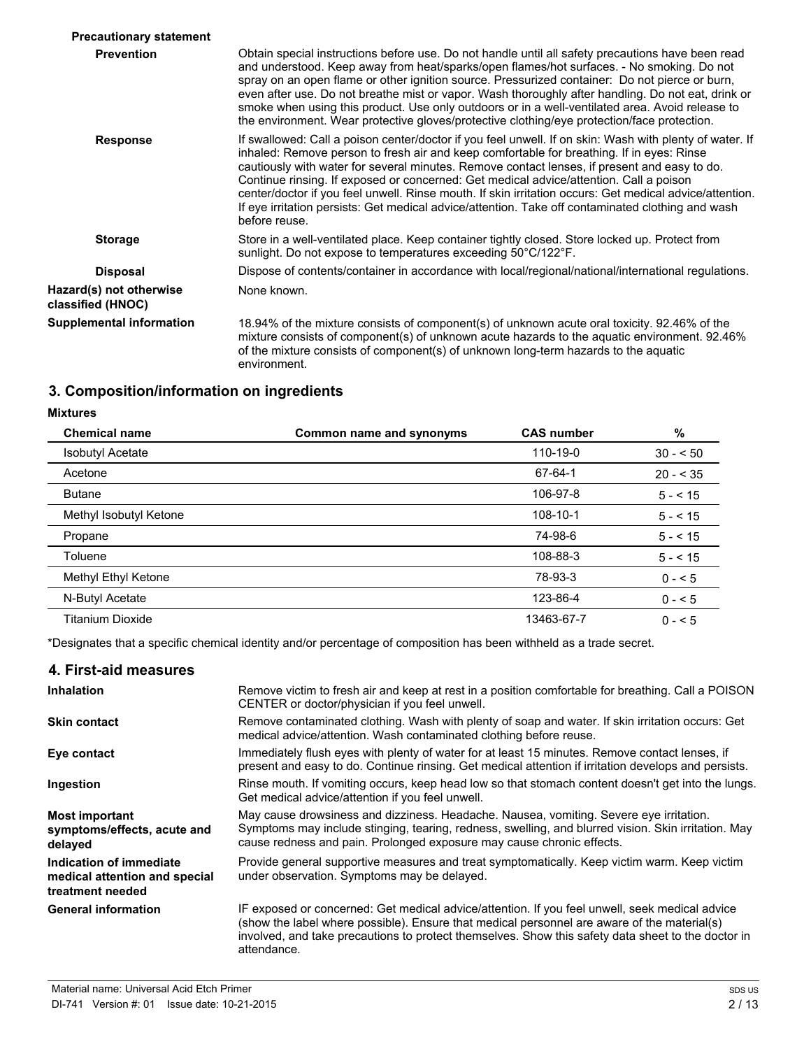| <b>Precautionary statement</b>               |                                                                                                                                                                                                                                                                                                                                                                                                                                                                                                                                                                                                                                 |
|----------------------------------------------|---------------------------------------------------------------------------------------------------------------------------------------------------------------------------------------------------------------------------------------------------------------------------------------------------------------------------------------------------------------------------------------------------------------------------------------------------------------------------------------------------------------------------------------------------------------------------------------------------------------------------------|
| <b>Prevention</b>                            | Obtain special instructions before use. Do not handle until all safety precautions have been read<br>and understood. Keep away from heat/sparks/open flames/hot surfaces. - No smoking. Do not<br>spray on an open flame or other ignition source. Pressurized container: Do not pierce or burn,<br>even after use. Do not breathe mist or vapor. Wash thoroughly after handling. Do not eat, drink or<br>smoke when using this product. Use only outdoors or in a well-ventilated area. Avoid release to<br>the environment. Wear protective gloves/protective clothing/eye protection/face protection.                        |
| <b>Response</b>                              | If swallowed: Call a poison center/doctor if you feel unwell. If on skin: Wash with plenty of water. If<br>inhaled: Remove person to fresh air and keep comfortable for breathing. If in eyes: Rinse<br>cautiously with water for several minutes. Remove contact lenses, if present and easy to do.<br>Continue rinsing. If exposed or concerned: Get medical advice/attention. Call a poison<br>center/doctor if you feel unwell. Rinse mouth. If skin irritation occurs: Get medical advice/attention.<br>If eye irritation persists: Get medical advice/attention. Take off contaminated clothing and wash<br>before reuse. |
| <b>Storage</b>                               | Store in a well-ventilated place. Keep container tightly closed. Store locked up. Protect from<br>sunlight. Do not expose to temperatures exceeding 50°C/122°F.                                                                                                                                                                                                                                                                                                                                                                                                                                                                 |
| <b>Disposal</b>                              | Dispose of contents/container in accordance with local/regional/national/international regulations.                                                                                                                                                                                                                                                                                                                                                                                                                                                                                                                             |
| Hazard(s) not otherwise<br>classified (HNOC) | None known.                                                                                                                                                                                                                                                                                                                                                                                                                                                                                                                                                                                                                     |
| <b>Supplemental information</b>              | 18.94% of the mixture consists of component(s) of unknown acute oral toxicity. 92.46% of the<br>mixture consists of component(s) of unknown acute hazards to the aquatic environment. 92.46%<br>of the mixture consists of component(s) of unknown long-term hazards to the aquatic<br>environment.                                                                                                                                                                                                                                                                                                                             |

# **3. Composition/information on ingredients**

# **Mixtures**

| <b>Chemical name</b>    | Common name and synonyms | <b>CAS number</b> | $\%$       |
|-------------------------|--------------------------|-------------------|------------|
| <b>Isobutyl Acetate</b> |                          | 110-19-0          | $30 - 50$  |
| Acetone                 |                          | 67-64-1           | $20 - 535$ |
| <b>Butane</b>           |                          | 106-97-8          | $5 - 15$   |
| Methyl Isobutyl Ketone  |                          | 108-10-1          | $5 - 515$  |
| Propane                 |                          | 74-98-6           | $5 - 15$   |
| Toluene                 |                          | 108-88-3          | $5 - 15$   |
| Methyl Ethyl Ketone     |                          | 78-93-3           | $0 - 5$    |
| N-Butyl Acetate         |                          | 123-86-4          | $0 - 5$    |
| Titanium Dioxide        |                          | 13463-67-7        | $0 - 5$    |

\*Designates that a specific chemical identity and/or percentage of composition has been withheld as a trade secret.

## **4. First-aid measures**

| <b>Inhalation</b>                                                            | Remove victim to fresh air and keep at rest in a position comfortable for breathing. Call a POISON<br>CENTER or doctor/physician if you feel unwell.                                                                                                                                                               |
|------------------------------------------------------------------------------|--------------------------------------------------------------------------------------------------------------------------------------------------------------------------------------------------------------------------------------------------------------------------------------------------------------------|
| <b>Skin contact</b>                                                          | Remove contaminated clothing. Wash with plenty of soap and water. If skin irritation occurs: Get<br>medical advice/attention. Wash contaminated clothing before reuse.                                                                                                                                             |
| Eye contact                                                                  | Immediately flush eyes with plenty of water for at least 15 minutes. Remove contact lenses, if<br>present and easy to do. Continue rinsing. Get medical attention if irritation develops and persists.                                                                                                             |
| Ingestion                                                                    | Rinse mouth. If vomiting occurs, keep head low so that stomach content doesn't get into the lungs.<br>Get medical advice/attention if you feel unwell.                                                                                                                                                             |
| <b>Most important</b><br>symptoms/effects, acute and<br>delayed              | May cause drowsiness and dizziness. Headache. Nausea, vomiting. Severe eye irritation.<br>Symptoms may include stinging, tearing, redness, swelling, and blurred vision. Skin irritation. May<br>cause redness and pain. Prolonged exposure may cause chronic effects.                                             |
| Indication of immediate<br>medical attention and special<br>treatment needed | Provide general supportive measures and treat symptomatically. Keep victim warm. Keep victim<br>under observation. Symptoms may be delayed.                                                                                                                                                                        |
| <b>General information</b>                                                   | IF exposed or concerned: Get medical advice/attention. If you feel unwell, seek medical advice<br>(show the label where possible). Ensure that medical personnel are aware of the material(s)<br>involved, and take precautions to protect themselves. Show this safety data sheet to the doctor in<br>attendance. |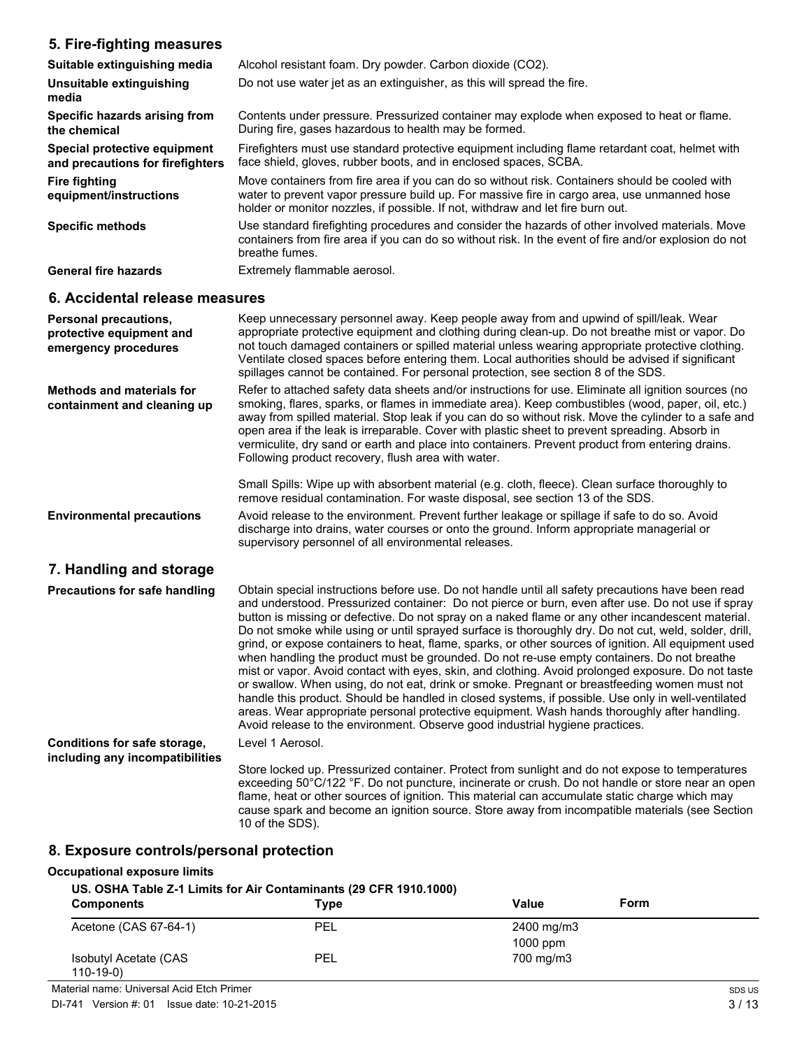# **5. Fire-fighting measures**

| Suitable extinguishing media                                     | Alcohol resistant foam. Dry powder. Carbon dioxide (CO2).                                                                                                                                                                                                                        |
|------------------------------------------------------------------|----------------------------------------------------------------------------------------------------------------------------------------------------------------------------------------------------------------------------------------------------------------------------------|
| Unsuitable extinguishing<br>media                                | Do not use water jet as an extinguisher, as this will spread the fire.                                                                                                                                                                                                           |
| Specific hazards arising from<br>the chemical                    | Contents under pressure. Pressurized container may explode when exposed to heat or flame.<br>During fire, gases hazardous to health may be formed.                                                                                                                               |
| Special protective equipment<br>and precautions for firefighters | Firefighters must use standard protective equipment including flame retardant coat, helmet with<br>face shield, gloves, rubber boots, and in enclosed spaces, SCBA.                                                                                                              |
| <b>Fire fighting</b><br>equipment/instructions                   | Move containers from fire area if you can do so without risk. Containers should be cooled with<br>water to prevent vapor pressure build up. For massive fire in cargo area, use unmanned hose<br>holder or monitor nozzles, if possible. If not, withdraw and let fire burn out. |
| <b>Specific methods</b>                                          | Use standard firefighting procedures and consider the hazards of other involved materials. Move<br>containers from fire area if you can do so without risk. In the event of fire and/or explosion do not<br>breathe fumes.                                                       |
| <b>General fire hazards</b>                                      | Extremely flammable aerosol.                                                                                                                                                                                                                                                     |

# **6. Accidental release measures**

| Personal precautions,<br>protective equipment and<br>emergency procedures | Keep unnecessary personnel away. Keep people away from and upwind of spill/leak. Wear<br>appropriate protective equipment and clothing during clean-up. Do not breathe mist or vapor. Do<br>not touch damaged containers or spilled material unless wearing appropriate protective clothing.<br>Ventilate closed spaces before entering them. Local authorities should be advised if significant<br>spillages cannot be contained. For personal protection, see section 8 of the SDS.                                                                                                                                                                                                                                                                                                                                                                                                                                                                                                                                                                                                                                  |
|---------------------------------------------------------------------------|------------------------------------------------------------------------------------------------------------------------------------------------------------------------------------------------------------------------------------------------------------------------------------------------------------------------------------------------------------------------------------------------------------------------------------------------------------------------------------------------------------------------------------------------------------------------------------------------------------------------------------------------------------------------------------------------------------------------------------------------------------------------------------------------------------------------------------------------------------------------------------------------------------------------------------------------------------------------------------------------------------------------------------------------------------------------------------------------------------------------|
| <b>Methods and materials for</b><br>containment and cleaning up           | Refer to attached safety data sheets and/or instructions for use. Eliminate all ignition sources (no<br>smoking, flares, sparks, or flames in immediate area). Keep combustibles (wood, paper, oil, etc.)<br>away from spilled material. Stop leak if you can do so without risk. Move the cylinder to a safe and<br>open area if the leak is irreparable. Cover with plastic sheet to prevent spreading. Absorb in<br>vermiculite, dry sand or earth and place into containers. Prevent product from entering drains.<br>Following product recovery, flush area with water.                                                                                                                                                                                                                                                                                                                                                                                                                                                                                                                                           |
|                                                                           | Small Spills: Wipe up with absorbent material (e.g. cloth, fleece). Clean surface thoroughly to<br>remove residual contamination. For waste disposal, see section 13 of the SDS.                                                                                                                                                                                                                                                                                                                                                                                                                                                                                                                                                                                                                                                                                                                                                                                                                                                                                                                                       |
| <b>Environmental precautions</b>                                          | Avoid release to the environment. Prevent further leakage or spillage if safe to do so. Avoid<br>discharge into drains, water courses or onto the ground. Inform appropriate managerial or<br>supervisory personnel of all environmental releases.                                                                                                                                                                                                                                                                                                                                                                                                                                                                                                                                                                                                                                                                                                                                                                                                                                                                     |
| 7. Handling and storage                                                   |                                                                                                                                                                                                                                                                                                                                                                                                                                                                                                                                                                                                                                                                                                                                                                                                                                                                                                                                                                                                                                                                                                                        |
| <b>Precautions for safe handling</b>                                      | Obtain special instructions before use. Do not handle until all safety precautions have been read<br>and understood. Pressurized container: Do not pierce or burn, even after use. Do not use if spray<br>button is missing or defective. Do not spray on a naked flame or any other incandescent material.<br>Do not smoke while using or until sprayed surface is thoroughly dry. Do not cut, weld, solder, drill,<br>grind, or expose containers to heat, flame, sparks, or other sources of ignition. All equipment used<br>when handling the product must be grounded. Do not re-use empty containers. Do not breathe<br>mist or vapor. Avoid contact with eyes, skin, and clothing. Avoid prolonged exposure. Do not taste<br>or swallow. When using, do not eat, drink or smoke. Pregnant or breastfeeding women must not<br>handle this product. Should be handled in closed systems, if possible. Use only in well-ventilated<br>areas. Wear appropriate personal protective equipment. Wash hands thoroughly after handling.<br>Avoid release to the environment. Observe good industrial hygiene practices. |
| Conditions for safe storage,<br>including any incompatibilities           | Level 1 Aerosol.                                                                                                                                                                                                                                                                                                                                                                                                                                                                                                                                                                                                                                                                                                                                                                                                                                                                                                                                                                                                                                                                                                       |
|                                                                           | Store locked up. Pressurized container. Protect from sunlight and do not expose to temperatures<br>exceeding 50°C/122 °F. Do not puncture, incinerate or crush. Do not handle or store near an open<br>flame, heat or other sources of ignition. This material can accumulate static charge which may                                                                                                                                                                                                                                                                                                                                                                                                                                                                                                                                                                                                                                                                                                                                                                                                                  |

# **8. Exposure controls/personal protection**

### **Occupational exposure limits**

**US. OSHA Table Z-1 Limits for Air Contaminants (29 CFR 1910.1000)**

10 of the SDS).

| <b>Components</b>                    | Type       | Form<br>Value |
|--------------------------------------|------------|---------------|
| Acetone (CAS 67-64-1)                | <b>PEL</b> | 2400 mg/m3    |
|                                      |            | $1000$ ppm    |
| Isobutyl Acetate (CAS<br>$110-19-0)$ | PEL        | 700 mg/m3     |

cause spark and become an ignition source. Store away from incompatible materials (see Section

Material name: Universal Acid Etch Primer

DI-741 Version #: 01 Issue date: 10-21-2015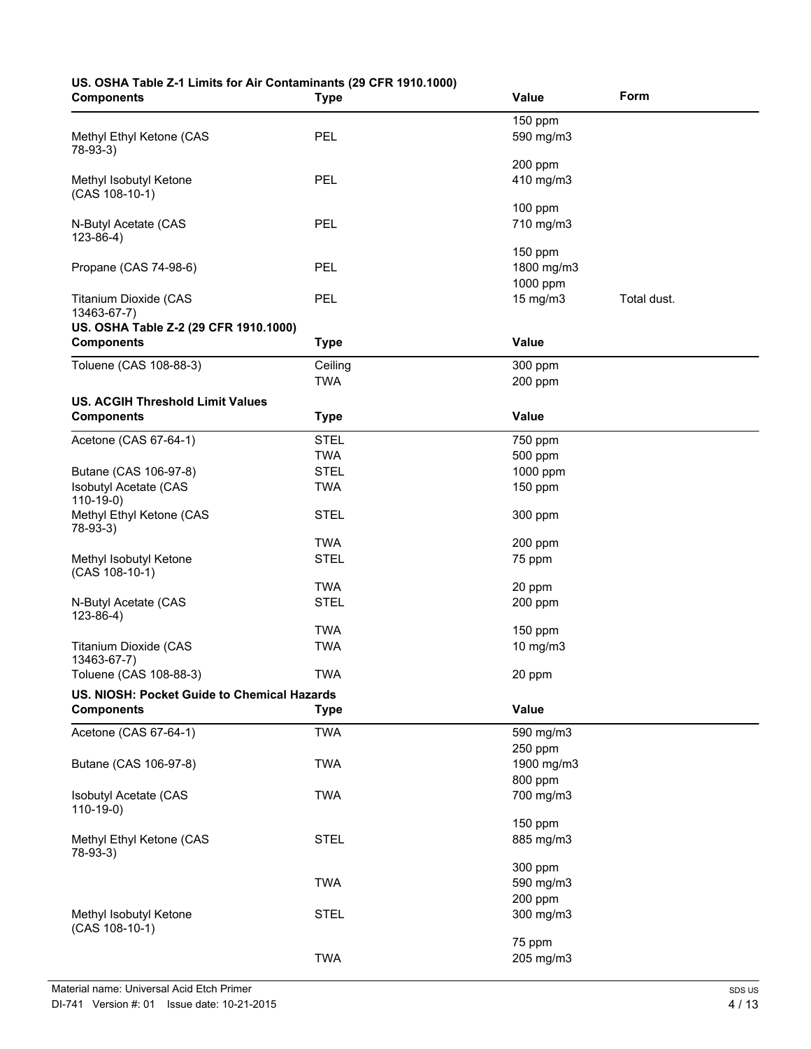# **US. OSHA Table Z-1 Limits for Air Contaminants (29 CFR 1910.1000)**

| <b>Components</b>                           | <b>Type</b> | Value                 | Form        |
|---------------------------------------------|-------------|-----------------------|-------------|
|                                             |             | 150 ppm               |             |
| Methyl Ethyl Ketone (CAS                    | PEL         | 590 mg/m3             |             |
| 78-93-3)                                    |             |                       |             |
| Methyl Isobutyl Ketone                      | PEL         | 200 ppm<br>410 mg/m3  |             |
| (CAS 108-10-1)                              |             |                       |             |
|                                             |             | 100 ppm               |             |
| N-Butyl Acetate (CAS                        | PEL         | 710 mg/m3             |             |
| $123 - 86 - 4$ )                            |             |                       |             |
| Propane (CAS 74-98-6)                       | PEL         | 150 ppm<br>1800 mg/m3 |             |
|                                             |             | 1000 ppm              |             |
| Titanium Dioxide (CAS                       | PEL         | 15 mg/m3              | Total dust. |
| 13463-67-7)                                 |             |                       |             |
| US. OSHA Table Z-2 (29 CFR 1910.1000)       |             |                       |             |
| <b>Components</b>                           | <b>Type</b> | Value                 |             |
| Toluene (CAS 108-88-3)                      | Ceiling     | 300 ppm               |             |
|                                             | <b>TWA</b>  | 200 ppm               |             |
| <b>US. ACGIH Threshold Limit Values</b>     |             |                       |             |
| <b>Components</b>                           | <b>Type</b> | Value                 |             |
| Acetone (CAS 67-64-1)                       | <b>STEL</b> | 750 ppm               |             |
|                                             | <b>TWA</b>  | 500 ppm               |             |
| Butane (CAS 106-97-8)                       | <b>STEL</b> | 1000 ppm              |             |
| Isobutyl Acetate (CAS                       | <b>TWA</b>  | 150 ppm               |             |
| $110-19-0$<br>Methyl Ethyl Ketone (CAS      | <b>STEL</b> | 300 ppm               |             |
| 78-93-3)                                    |             |                       |             |
|                                             | <b>TWA</b>  | 200 ppm               |             |
| Methyl Isobutyl Ketone<br>(CAS 108-10-1)    | <b>STEL</b> | 75 ppm                |             |
|                                             | <b>TWA</b>  | 20 ppm                |             |
| N-Butyl Acetate (CAS                        | <b>STEL</b> | 200 ppm               |             |
| $123 - 86 - 4$ )                            |             |                       |             |
|                                             | <b>TWA</b>  | 150 ppm               |             |
| <b>Titanium Dioxide (CAS</b><br>13463-67-7) | <b>TWA</b>  | 10 mg/m3              |             |
| Toluene (CAS 108-88-3)                      | <b>TWA</b>  | 20 ppm                |             |
| US. NIOSH: Pocket Guide to Chemical Hazards |             |                       |             |
| <b>Components</b>                           | <b>Type</b> | Value                 |             |
| Acetone (CAS 67-64-1)                       | <b>TWA</b>  | 590 mg/m3             |             |
|                                             |             | 250 ppm               |             |
| Butane (CAS 106-97-8)                       | <b>TWA</b>  | 1900 mg/m3            |             |
|                                             |             | 800 ppm               |             |
| <b>Isobutyl Acetate (CAS</b>                | <b>TWA</b>  | 700 mg/m3             |             |
| $110-19-0$                                  |             |                       |             |
|                                             | <b>STEL</b> | 150 ppm<br>885 mg/m3  |             |
| Methyl Ethyl Ketone (CAS<br>78-93-3)        |             |                       |             |
|                                             |             | 300 ppm               |             |
|                                             | <b>TWA</b>  | 590 mg/m3             |             |
|                                             |             | 200 ppm               |             |
| Methyl Isobutyl Ketone<br>(CAS 108-10-1)    | <b>STEL</b> | 300 mg/m3             |             |
|                                             |             | 75 ppm                |             |
|                                             | <b>TWA</b>  | 205 mg/m3             |             |
|                                             |             |                       |             |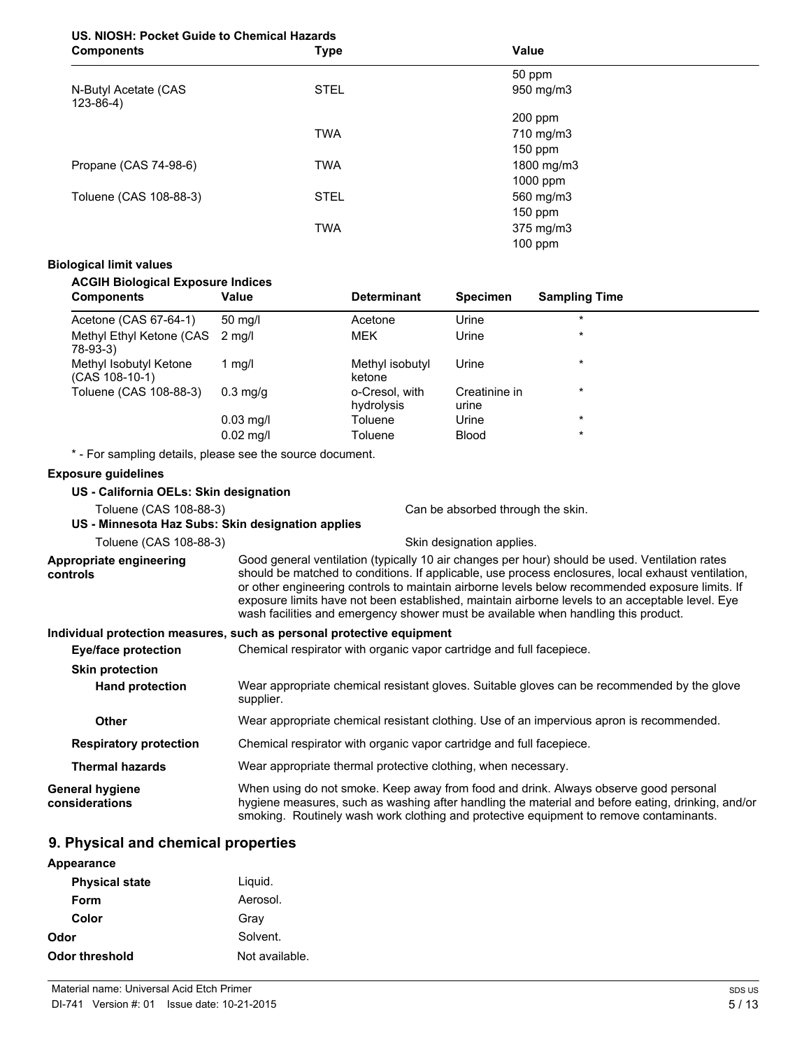# **US. NIOSH: Pocket Guide to Chemical Hazards**

| <b>Components</b>                   | <b>Type</b> | Value      |  |
|-------------------------------------|-------------|------------|--|
|                                     |             | 50 ppm     |  |
| N-Butyl Acetate (CAS<br>$123-86-4)$ | <b>STEL</b> | 950 mg/m3  |  |
|                                     |             | 200 ppm    |  |
|                                     | <b>TWA</b>  | 710 mg/m3  |  |
|                                     |             | $150$ ppm  |  |
| Propane (CAS 74-98-6)               | <b>TWA</b>  | 1800 mg/m3 |  |
|                                     |             | 1000 ppm   |  |
| Toluene (CAS 108-88-3)              | <b>STEL</b> | 560 mg/m3  |  |
|                                     |             | 150 ppm    |  |
|                                     | <b>TWA</b>  | 375 mg/m3  |  |
|                                     |             | $100$ ppm  |  |

# **Biological limit values**

# **ACGIH Biological Exposure Indices**

| <b>Components</b>                            | Value               | <b>Determinant</b>           | <b>Specimen</b>        | <b>Sampling Time</b> |  |
|----------------------------------------------|---------------------|------------------------------|------------------------|----------------------|--|
| Acetone (CAS 67-64-1)                        | $50 \text{ mq/l}$   | Acetone                      | Urine                  | $\star$              |  |
| Methyl Ethyl Ketone (CAS 2 mg/l)<br>78-93-3) |                     | <b>MEK</b>                   | Urine                  | $\star$              |  |
| Methyl Isobutyl Ketone<br>(CAS 108-10-1)     | 1 mg/l              | Methyl isobutyl<br>ketone    | Urine                  | $\star$              |  |
| Toluene (CAS 108-88-3)                       | $0.3$ mg/g          | o-Cresol, with<br>hydrolysis | Creatinine in<br>urine | $\star$              |  |
|                                              | $0.03 \text{ mq/l}$ | Toluene                      | Urine                  | $\star$              |  |
|                                              | $0.02$ mg/l         | Toluene                      | <b>Blood</b>           | $\star$              |  |

\* - For sampling details, please see the source document.

## **Exposure guidelines**

| US - California OELs: Skin designation            |                                                                                                                                                                                                                                                                                                                                                                                                                                                                                                  |  |
|---------------------------------------------------|--------------------------------------------------------------------------------------------------------------------------------------------------------------------------------------------------------------------------------------------------------------------------------------------------------------------------------------------------------------------------------------------------------------------------------------------------------------------------------------------------|--|
| Toluene (CAS 108-88-3)                            | Can be absorbed through the skin.                                                                                                                                                                                                                                                                                                                                                                                                                                                                |  |
| US - Minnesota Haz Subs: Skin designation applies |                                                                                                                                                                                                                                                                                                                                                                                                                                                                                                  |  |
| Toluene (CAS 108-88-3)                            | Skin designation applies.                                                                                                                                                                                                                                                                                                                                                                                                                                                                        |  |
| Appropriate engineering<br>controls               | Good general ventilation (typically 10 air changes per hour) should be used. Ventilation rates<br>should be matched to conditions. If applicable, use process enclosures, local exhaust ventilation,<br>or other engineering controls to maintain airborne levels below recommended exposure limits. If<br>exposure limits have not been established, maintain airborne levels to an acceptable level. Eye<br>wash facilities and emergency shower must be available when handling this product. |  |
|                                                   | Individual protection measures, such as personal protective equipment                                                                                                                                                                                                                                                                                                                                                                                                                            |  |
| Eye/face protection                               | Chemical respirator with organic vapor cartridge and full facepiece.                                                                                                                                                                                                                                                                                                                                                                                                                             |  |
| <b>Skin protection</b>                            |                                                                                                                                                                                                                                                                                                                                                                                                                                                                                                  |  |
| <b>Hand protection</b>                            | Wear appropriate chemical resistant gloves. Suitable gloves can be recommended by the glove<br>supplier.                                                                                                                                                                                                                                                                                                                                                                                         |  |
| <b>Other</b>                                      | Wear appropriate chemical resistant clothing. Use of an impervious apron is recommended.                                                                                                                                                                                                                                                                                                                                                                                                         |  |
| <b>Respiratory protection</b>                     | Chemical respirator with organic vapor cartridge and full facepiece.                                                                                                                                                                                                                                                                                                                                                                                                                             |  |
| <b>Thermal hazards</b>                            | Wear appropriate thermal protective clothing, when necessary.                                                                                                                                                                                                                                                                                                                                                                                                                                    |  |
| General hygiene<br>considerations                 | When using do not smoke. Keep away from food and drink. Always observe good personal<br>hygiene measures, such as washing after handling the material and before eating, drinking, and/or<br>smoking. Routinely wash work clothing and protective equipment to remove contaminants.                                                                                                                                                                                                              |  |

# **9. Physical and chemical properties**

| Appearance            |                |
|-----------------------|----------------|
| <b>Physical state</b> | Liquid.        |
| Form                  | Aerosol.       |
| Color                 | Gray           |
| Odor                  | Solvent.       |
| Odor threshold        | Not available. |
|                       |                |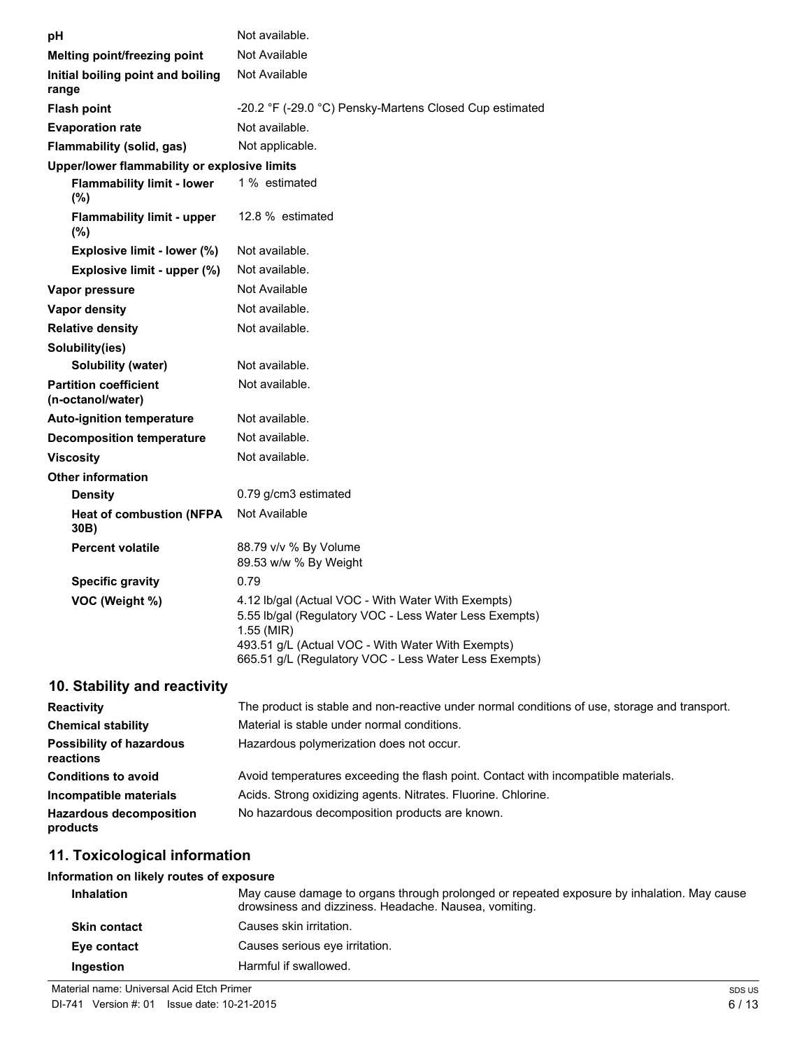| рH                                                | Not available.                                                                                                                                                                                                                           |
|---------------------------------------------------|------------------------------------------------------------------------------------------------------------------------------------------------------------------------------------------------------------------------------------------|
| Melting point/freezing point                      | Not Available                                                                                                                                                                                                                            |
| Initial boiling point and boiling<br>range        | Not Available                                                                                                                                                                                                                            |
| <b>Flash point</b>                                | -20.2 °F (-29.0 °C) Pensky-Martens Closed Cup estimated                                                                                                                                                                                  |
| <b>Evaporation rate</b>                           | Not available.                                                                                                                                                                                                                           |
| Flammability (solid, gas)                         | Not applicable.                                                                                                                                                                                                                          |
| Upper/lower flammability or explosive limits      |                                                                                                                                                                                                                                          |
| <b>Flammability limit - lower</b><br>(%)          | 1 % estimated                                                                                                                                                                                                                            |
| <b>Flammability limit - upper</b><br>(%)          | 12.8 % estimated                                                                                                                                                                                                                         |
| Explosive limit - lower (%)                       | Not available.                                                                                                                                                                                                                           |
| Explosive limit - upper (%)                       | Not available.                                                                                                                                                                                                                           |
| Vapor pressure                                    | Not Available                                                                                                                                                                                                                            |
| Vapor density                                     | Not available.                                                                                                                                                                                                                           |
| <b>Relative density</b>                           | Not available.                                                                                                                                                                                                                           |
| Solubility(ies)                                   |                                                                                                                                                                                                                                          |
| Solubility (water)                                | Not available.                                                                                                                                                                                                                           |
| <b>Partition coefficient</b><br>(n-octanol/water) | Not available.                                                                                                                                                                                                                           |
| <b>Auto-ignition temperature</b>                  | Not available.                                                                                                                                                                                                                           |
| <b>Decomposition temperature</b>                  | Not available.                                                                                                                                                                                                                           |
| <b>Viscosity</b>                                  | Not available.                                                                                                                                                                                                                           |
| <b>Other information</b>                          |                                                                                                                                                                                                                                          |
| <b>Density</b>                                    | 0.79 g/cm3 estimated                                                                                                                                                                                                                     |
| <b>Heat of combustion (NFPA</b><br>30B)           | Not Available                                                                                                                                                                                                                            |
| <b>Percent volatile</b>                           | 88.79 v/v % By Volume<br>89.53 w/w % By Weight                                                                                                                                                                                           |
| <b>Specific gravity</b>                           | 0.79                                                                                                                                                                                                                                     |
| VOC (Weight %)                                    | 4.12 lb/gal (Actual VOC - With Water With Exempts)<br>5.55 lb/gal (Regulatory VOC - Less Water Less Exempts)<br>1.55 (MIR)<br>493.51 g/L (Actual VOC - With Water With Exempts)<br>665.51 g/L (Regulatory VOC - Less Water Less Exempts) |

# **10. Stability and reactivity**

| <b>Reactivity</b>                            | The product is stable and non-reactive under normal conditions of use, storage and transport. |
|----------------------------------------------|-----------------------------------------------------------------------------------------------|
| <b>Chemical stability</b>                    | Material is stable under normal conditions.                                                   |
| <b>Possibility of hazardous</b><br>reactions | Hazardous polymerization does not occur.                                                      |
| <b>Conditions to avoid</b>                   | Avoid temperatures exceeding the flash point. Contact with incompatible materials.            |
| Incompatible materials                       | Acids. Strong oxidizing agents. Nitrates. Fluorine. Chlorine.                                 |
| <b>Hazardous decomposition</b><br>products   | No hazardous decomposition products are known.                                                |

# **11. Toxicological information**

# **Information on likely routes of exposure**

| <b>Inhalation</b>   | May cause damage to organs through prolonged or repeated exposure by inhalation. May cause<br>drowsiness and dizziness. Headache. Nausea, vomiting. |
|---------------------|-----------------------------------------------------------------------------------------------------------------------------------------------------|
| <b>Skin contact</b> | Causes skin irritation.                                                                                                                             |
| Eye contact         | Causes serious eye irritation.                                                                                                                      |
| Ingestion           | Harmful if swallowed.                                                                                                                               |

6 / 13

SDS US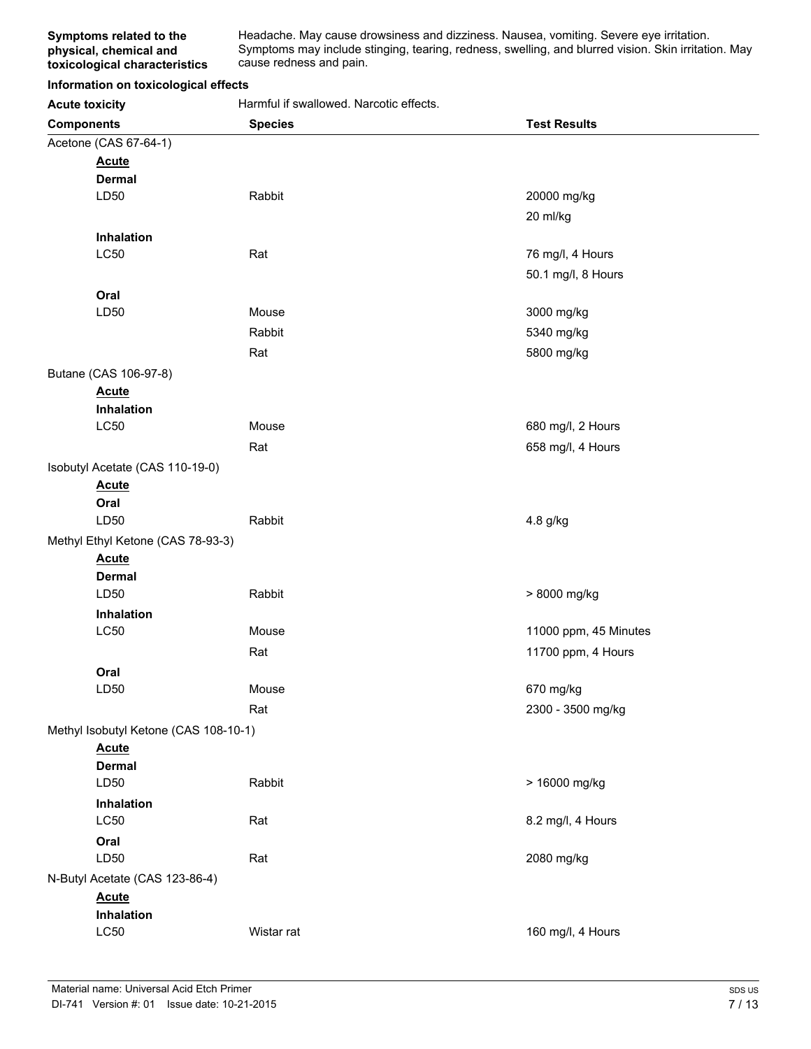Headache. May cause drowsiness and dizziness. Nausea, vomiting. Severe eye irritation. Symptoms may include stinging, tearing, redness, swelling, and blurred vision. Skin irritation. May cause redness and pain.

### **Information on toxicological effects**

Acute toxicity **Acute in the Separate Separate Harmful if swallowed. Narcotic effects.** 

| <i>.</i>                              |                |                       |
|---------------------------------------|----------------|-----------------------|
| <b>Components</b>                     | <b>Species</b> | <b>Test Results</b>   |
| Acetone (CAS 67-64-1)                 |                |                       |
| <b>Acute</b>                          |                |                       |
| <b>Dermal</b>                         |                |                       |
| LD50                                  | Rabbit         | 20000 mg/kg           |
|                                       |                | 20 ml/kg              |
| Inhalation                            |                |                       |
| <b>LC50</b>                           | Rat            | 76 mg/l, 4 Hours      |
|                                       |                | 50.1 mg/l, 8 Hours    |
| Oral                                  |                |                       |
| LD50                                  | Mouse          | 3000 mg/kg            |
|                                       | Rabbit         | 5340 mg/kg            |
|                                       | Rat            | 5800 mg/kg            |
| Butane (CAS 106-97-8)                 |                |                       |
| <b>Acute</b>                          |                |                       |
| Inhalation                            |                |                       |
| LC50                                  | Mouse          | 680 mg/l, 2 Hours     |
|                                       | Rat            | 658 mg/l, 4 Hours     |
| Isobutyl Acetate (CAS 110-19-0)       |                |                       |
| <b>Acute</b>                          |                |                       |
| Oral                                  |                |                       |
| LD50                                  | Rabbit         | 4.8 g/kg              |
| Methyl Ethyl Ketone (CAS 78-93-3)     |                |                       |
| <b>Acute</b>                          |                |                       |
| <b>Dermal</b>                         |                |                       |
| LD50                                  | Rabbit         | > 8000 mg/kg          |
| Inhalation                            |                |                       |
| LC50                                  | Mouse          | 11000 ppm, 45 Minutes |
|                                       | Rat            | 11700 ppm, 4 Hours    |
| Oral                                  |                |                       |
| LD50                                  | Mouse          | 670 mg/kg             |
|                                       | Rat            | 2300 - 3500 mg/kg     |
| Methyl Isobutyl Ketone (CAS 108-10-1) |                |                       |
| <b>Acute</b>                          |                |                       |
| <b>Dermal</b>                         |                |                       |
| LD50                                  | Rabbit         | > 16000 mg/kg         |
| Inhalation                            |                |                       |
| <b>LC50</b>                           | Rat            | 8.2 mg/l, 4 Hours     |
| Oral                                  |                |                       |
| LD50                                  | Rat            | 2080 mg/kg            |
| N-Butyl Acetate (CAS 123-86-4)        |                |                       |
| <b>Acute</b>                          |                |                       |
| Inhalation                            |                |                       |
| LC50                                  | Wistar rat     | 160 mg/l, 4 Hours     |
|                                       |                |                       |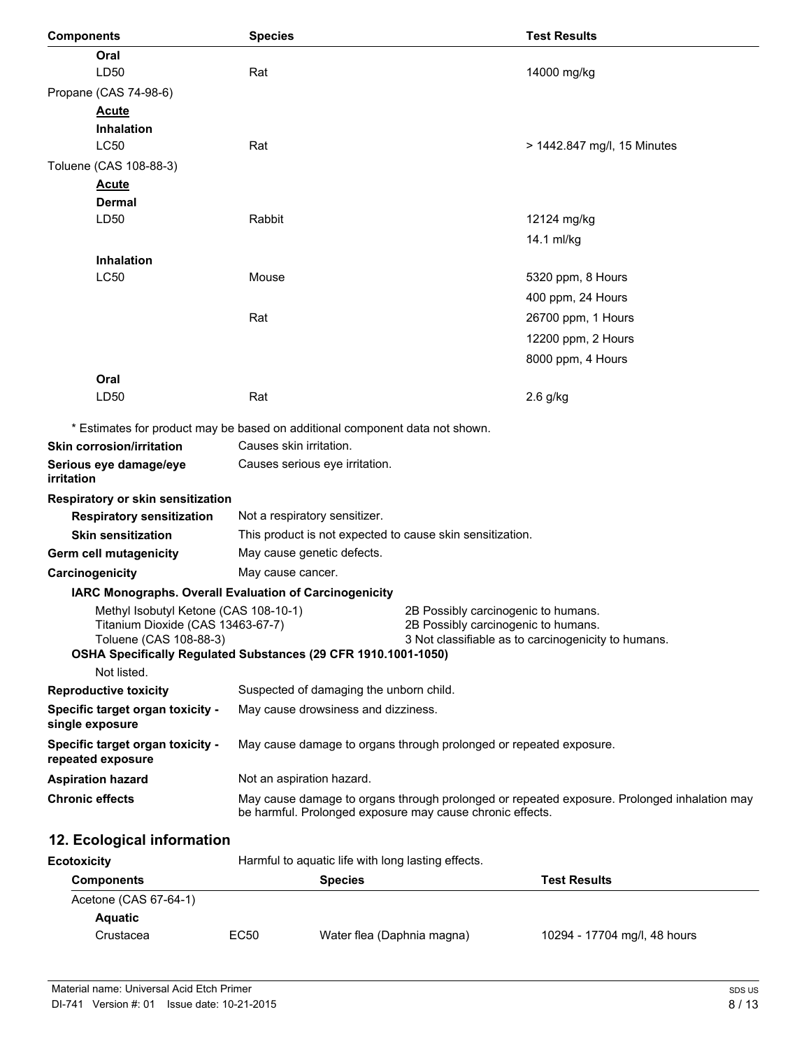| <b>Components</b>                                           | <b>Species</b>                                                               | <b>Test Results</b>                                                                                                                                      |
|-------------------------------------------------------------|------------------------------------------------------------------------------|----------------------------------------------------------------------------------------------------------------------------------------------------------|
| Oral                                                        |                                                                              |                                                                                                                                                          |
| LD50                                                        | Rat                                                                          | 14000 mg/kg                                                                                                                                              |
| Propane (CAS 74-98-6)                                       |                                                                              |                                                                                                                                                          |
| <b>Acute</b>                                                |                                                                              |                                                                                                                                                          |
| <b>Inhalation</b>                                           |                                                                              |                                                                                                                                                          |
| <b>LC50</b>                                                 | Rat                                                                          | > 1442.847 mg/l, 15 Minutes                                                                                                                              |
| Toluene (CAS 108-88-3)                                      |                                                                              |                                                                                                                                                          |
| <b>Acute</b>                                                |                                                                              |                                                                                                                                                          |
| Dermal<br>LD50                                              | Rabbit                                                                       |                                                                                                                                                          |
|                                                             |                                                                              | 12124 mg/kg                                                                                                                                              |
|                                                             |                                                                              | 14.1 ml/kg                                                                                                                                               |
| <b>Inhalation</b><br>LC50                                   | Mouse                                                                        |                                                                                                                                                          |
|                                                             |                                                                              | 5320 ppm, 8 Hours                                                                                                                                        |
|                                                             |                                                                              | 400 ppm, 24 Hours                                                                                                                                        |
|                                                             | Rat                                                                          | 26700 ppm, 1 Hours                                                                                                                                       |
|                                                             |                                                                              | 12200 ppm, 2 Hours                                                                                                                                       |
|                                                             |                                                                              | 8000 ppm, 4 Hours                                                                                                                                        |
| Oral                                                        |                                                                              |                                                                                                                                                          |
| LD50                                                        | Rat                                                                          | $2.6$ g/kg                                                                                                                                               |
|                                                             | * Estimates for product may be based on additional component data not shown. |                                                                                                                                                          |
| <b>Skin corrosion/irritation</b>                            | Causes skin irritation.                                                      |                                                                                                                                                          |
| Serious eye damage/eye                                      | Causes serious eye irritation.                                               |                                                                                                                                                          |
| irritation                                                  |                                                                              |                                                                                                                                                          |
| Respiratory or skin sensitization                           |                                                                              |                                                                                                                                                          |
| <b>Respiratory sensitization</b>                            | Not a respiratory sensitizer.                                                |                                                                                                                                                          |
| <b>Skin sensitization</b>                                   | This product is not expected to cause skin sensitization.                    |                                                                                                                                                          |
| Germ cell mutagenicity                                      | May cause genetic defects.                                                   |                                                                                                                                                          |
| Carcinogenicity                                             | May cause cancer.                                                            |                                                                                                                                                          |
|                                                             | IARC Monographs. Overall Evaluation of Carcinogenicity                       |                                                                                                                                                          |
| Methyl Isobutyl Ketone (CAS 108-10-1)                       |                                                                              | 2B Possibly carcinogenic to humans.                                                                                                                      |
| Titanium Dioxide (CAS 13463-67-7)<br>Toluene (CAS 108-88-3) |                                                                              | 2B Possibly carcinogenic to humans.<br>3 Not classifiable as to carcinogenicity to humans.                                                               |
|                                                             | OSHA Specifically Regulated Substances (29 CFR 1910.1001-1050)               |                                                                                                                                                          |
| Not listed.                                                 |                                                                              |                                                                                                                                                          |
| <b>Reproductive toxicity</b>                                | Suspected of damaging the unborn child.                                      |                                                                                                                                                          |
| Specific target organ toxicity -<br>single exposure         | May cause drowsiness and dizziness.                                          |                                                                                                                                                          |
| Specific target organ toxicity -<br>repeated exposure       |                                                                              | May cause damage to organs through prolonged or repeated exposure.                                                                                       |
| <b>Aspiration hazard</b>                                    | Not an aspiration hazard.                                                    |                                                                                                                                                          |
| <b>Chronic effects</b>                                      |                                                                              | May cause damage to organs through prolonged or repeated exposure. Prolonged inhalation may<br>be harmful. Prolonged exposure may cause chronic effects. |
| 12. Ecological information                                  |                                                                              |                                                                                                                                                          |
| <b>Ecotoxicity</b>                                          | Harmful to aquatic life with long lasting effects.                           |                                                                                                                                                          |
| <b>Components</b>                                           | <b>Species</b>                                                               | <b>Test Results</b>                                                                                                                                      |
| (0.10.27.01.4)                                              |                                                                              |                                                                                                                                                          |

| <b>Components</b>     |      | <b>Species</b>             | <b>Test Results</b>          |
|-----------------------|------|----------------------------|------------------------------|
| Acetone (CAS 67-64-1) |      |                            |                              |
| Aquatic               |      |                            |                              |
| Crustacea             | EC50 | Water flea (Daphnia magna) | 10294 - 17704 mg/l, 48 hours |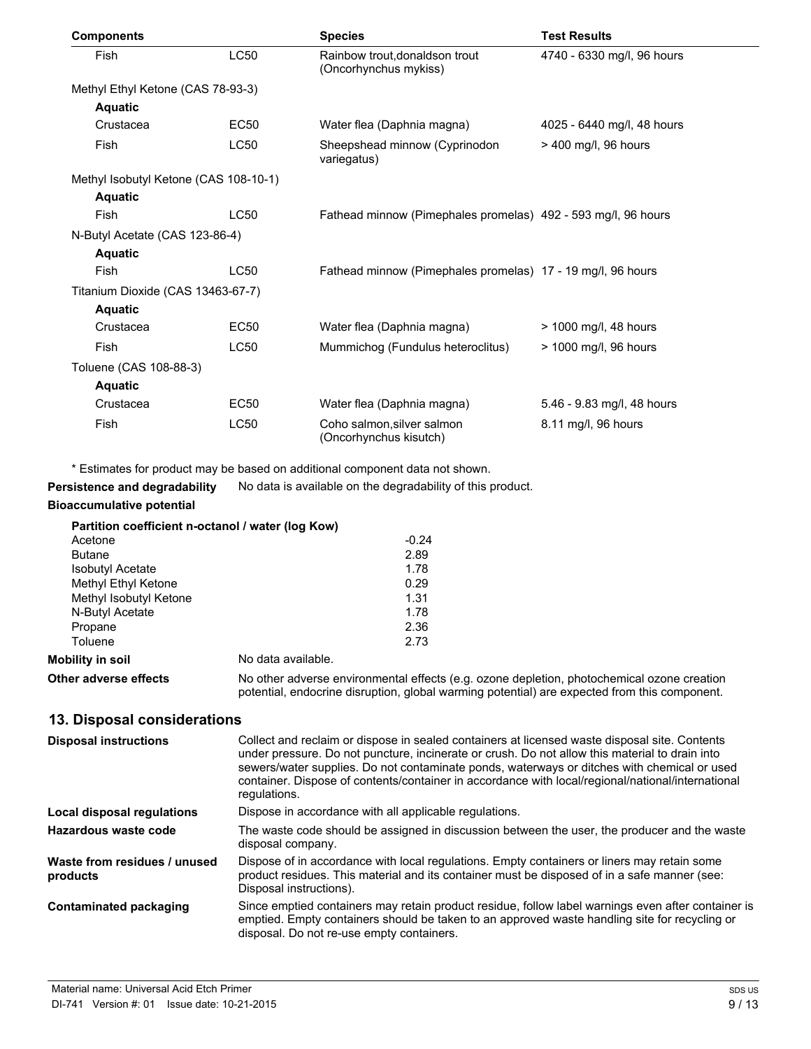| <b>Components</b>                     |             | <b>Species</b>                                                | <b>Test Results</b>        |
|---------------------------------------|-------------|---------------------------------------------------------------|----------------------------|
| Fish                                  | <b>LC50</b> | Rainbow trout, donaldson trout<br>(Oncorhynchus mykiss)       | 4740 - 6330 mg/l, 96 hours |
| Methyl Ethyl Ketone (CAS 78-93-3)     |             |                                                               |                            |
| <b>Aquatic</b>                        |             |                                                               |                            |
| Crustacea                             | EC50        | Water flea (Daphnia magna)                                    | 4025 - 6440 mg/l, 48 hours |
| Fish                                  | <b>LC50</b> | Sheepshead minnow (Cyprinodon<br>variegatus)                  | > 400 mg/l, 96 hours       |
| Methyl Isobutyl Ketone (CAS 108-10-1) |             |                                                               |                            |
| <b>Aquatic</b>                        |             |                                                               |                            |
| Fish                                  | <b>LC50</b> | Fathead minnow (Pimephales promelas) 492 - 593 mg/l, 96 hours |                            |
| N-Butyl Acetate (CAS 123-86-4)        |             |                                                               |                            |
| <b>Aquatic</b>                        |             |                                                               |                            |
| Fish                                  | <b>LC50</b> | Fathead minnow (Pimephales promelas) 17 - 19 mg/l, 96 hours   |                            |
| Titanium Dioxide (CAS 13463-67-7)     |             |                                                               |                            |
| <b>Aquatic</b>                        |             |                                                               |                            |
| Crustacea                             | EC50        | Water flea (Daphnia magna)                                    | > 1000 mg/l, 48 hours      |
| Fish                                  | <b>LC50</b> | Mummichog (Fundulus heteroclitus)                             | > 1000 mg/l, 96 hours      |
| Toluene (CAS 108-88-3)                |             |                                                               |                            |
| <b>Aquatic</b>                        |             |                                                               |                            |
| Crustacea                             | EC50        | Water flea (Daphnia magna)                                    | 5.46 - 9.83 mg/l, 48 hours |
| Fish                                  | <b>LC50</b> | Coho salmon, silver salmon<br>(Oncorhynchus kisutch)          | 8.11 mg/l, 96 hours        |

\* Estimates for product may be based on additional component data not shown.

**Persistence and degradability** No data is available on the degradability of this product.

# **Bioaccumulative potential**

|                         | Partition coefficient n-octanol / water (log Kow) |         |
|-------------------------|---------------------------------------------------|---------|
| Acetone                 |                                                   | $-0.24$ |
| <b>Butane</b>           |                                                   | 2.89    |
| <b>Isobutyl Acetate</b> |                                                   | 1.78    |
| Methyl Ethyl Ketone     |                                                   | 0.29    |
| Methyl Isobutyl Ketone  |                                                   | 1.31    |
| N-Butyl Acetate         |                                                   | 1.78    |
| Propane                 |                                                   | 2.36    |
| Toluene                 |                                                   | 2.73    |
| Mobility in soil        | No data available.                                |         |
| ---                     |                                                   |         |

**Other adverse effects** No other adverse environmental effects (e.g. ozone depletion, photochemical ozone creation potential, endocrine disruption, global warming potential) are expected from this component.

# **13. Disposal considerations**

| <b>Disposal instructions</b>             | Collect and reclaim or dispose in sealed containers at licensed waste disposal site. Contents<br>under pressure. Do not puncture, incinerate or crush. Do not allow this material to drain into<br>sewers/water supplies. Do not contaminate ponds, waterways or ditches with chemical or used<br>container. Dispose of contents/container in accordance with local/regional/national/international<br>regulations. |
|------------------------------------------|---------------------------------------------------------------------------------------------------------------------------------------------------------------------------------------------------------------------------------------------------------------------------------------------------------------------------------------------------------------------------------------------------------------------|
| Local disposal regulations               | Dispose in accordance with all applicable regulations.                                                                                                                                                                                                                                                                                                                                                              |
| Hazardous waste code                     | The waste code should be assigned in discussion between the user, the producer and the waste<br>disposal company.                                                                                                                                                                                                                                                                                                   |
| Waste from residues / unused<br>products | Dispose of in accordance with local regulations. Empty containers or liners may retain some<br>product residues. This material and its container must be disposed of in a safe manner (see:<br>Disposal instructions).                                                                                                                                                                                              |
| <b>Contaminated packaging</b>            | Since emptied containers may retain product residue, follow label warnings even after container is<br>emptied. Empty containers should be taken to an approved waste handling site for recycling or<br>disposal. Do not re-use empty containers.                                                                                                                                                                    |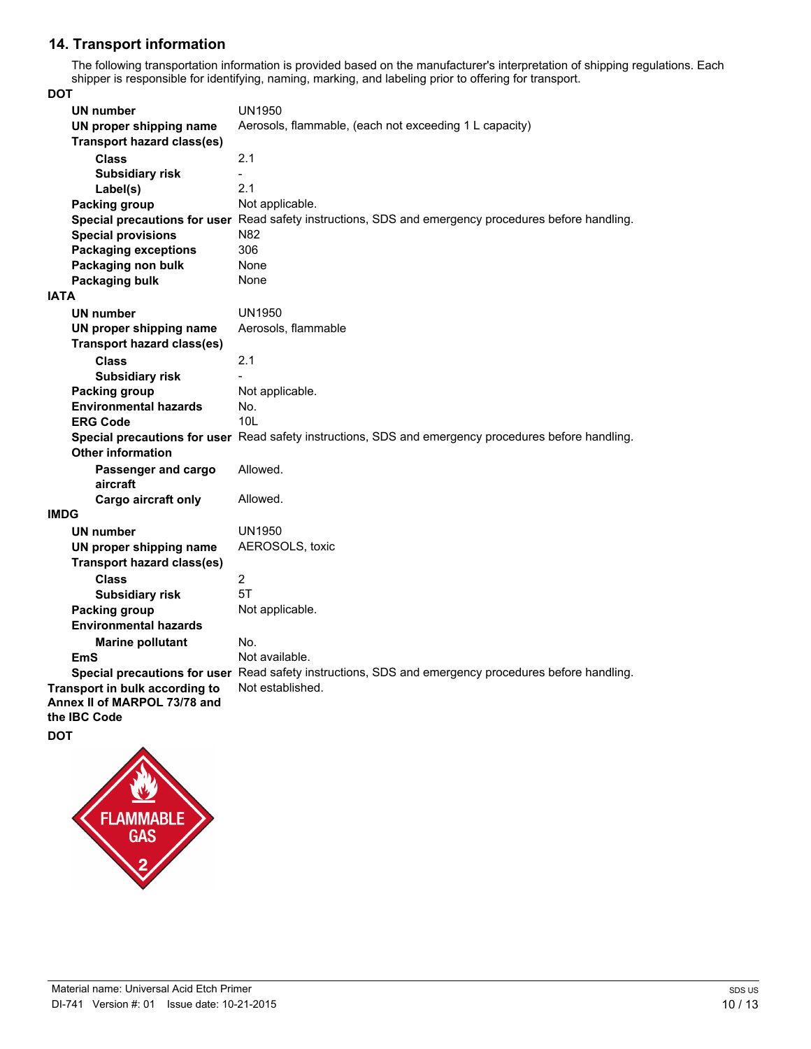# **14. Transport information**

The following transportation information is provided based on the manufacturer's interpretation of shipping regulations. Each shipper is responsible for identifying, naming, marking, and labeling prior to offering for transport.

**DOT**

| <b>UN number</b>                                    | <b>UN1950</b>                                                                                        |
|-----------------------------------------------------|------------------------------------------------------------------------------------------------------|
| UN proper shipping name                             | Aerosols, flammable, (each not exceeding 1 L capacity)                                               |
| <b>Transport hazard class(es)</b>                   |                                                                                                      |
| <b>Class</b>                                        | 2.1                                                                                                  |
| <b>Subsidiary risk</b>                              |                                                                                                      |
| Label(s)                                            | 2.1                                                                                                  |
| <b>Packing group</b>                                | Not applicable.                                                                                      |
|                                                     | Special precautions for user Read safety instructions, SDS and emergency procedures before handling. |
| <b>Special provisions</b>                           | N82                                                                                                  |
| <b>Packaging exceptions</b>                         | 306                                                                                                  |
| Packaging non bulk                                  | None                                                                                                 |
| <b>Packaging bulk</b>                               | None                                                                                                 |
| <b>IATA</b>                                         |                                                                                                      |
| UN number                                           | <b>UN1950</b>                                                                                        |
| UN proper shipping name                             | Aerosols, flammable                                                                                  |
| <b>Transport hazard class(es)</b>                   |                                                                                                      |
| <b>Class</b>                                        | 2.1                                                                                                  |
| <b>Subsidiary risk</b>                              |                                                                                                      |
| Packing group                                       | Not applicable.                                                                                      |
| <b>Environmental hazards</b>                        | No.                                                                                                  |
| <b>ERG Code</b>                                     | 10 <sub>L</sub>                                                                                      |
|                                                     | Special precautions for user Read safety instructions, SDS and emergency procedures before handling. |
| <b>Other information</b>                            |                                                                                                      |
| Passenger and cargo                                 | Allowed.                                                                                             |
| aircraft                                            |                                                                                                      |
| Cargo aircraft only                                 | Allowed.                                                                                             |
| <b>IMDG</b>                                         |                                                                                                      |
| <b>UN number</b>                                    | <b>UN1950</b>                                                                                        |
| UN proper shipping name                             | AEROSOLS, toxic                                                                                      |
| <b>Transport hazard class(es)</b>                   |                                                                                                      |
| <b>Class</b>                                        | $\overline{2}$                                                                                       |
| <b>Subsidiary risk</b>                              | 5T                                                                                                   |
| Packing group                                       | Not applicable.                                                                                      |
| <b>Environmental hazards</b>                        |                                                                                                      |
| <b>Marine pollutant</b>                             | No.                                                                                                  |
| <b>EmS</b>                                          | Not available.                                                                                       |
|                                                     | Special precautions for user Read safety instructions, SDS and emergency procedures before handling. |
| Transport in bulk according to                      | Not established.                                                                                     |
| Annex II of MARPOL 73/78 and<br>the <b>IBC</b> Code |                                                                                                      |
|                                                     |                                                                                                      |
| DOT                                                 |                                                                                                      |

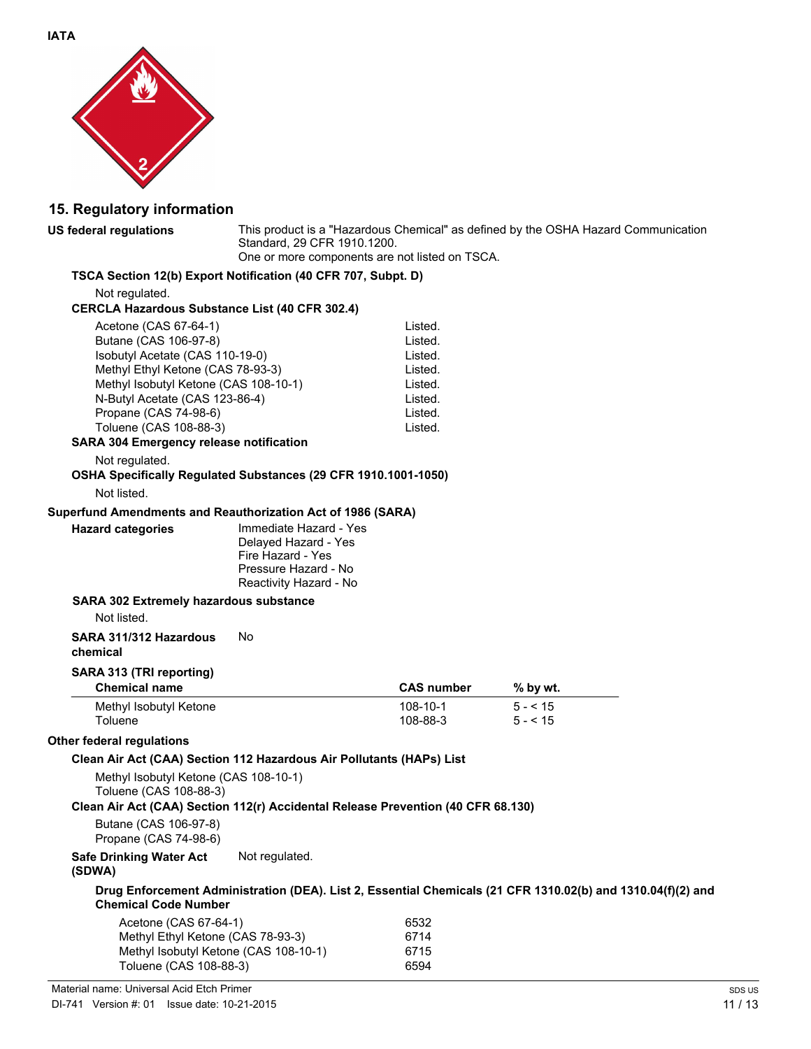

# **15. Regulatory information**

**US federal regulations** This product is a "Hazardous Chemical" as defined by the OSHA Hazard Communication Standard, 29 CFR 1910.1200. One or more components are not listed on TSCA.

## **TSCA Section 12(b) Export Notification (40 CFR 707, Subpt. D)**

Not regulated.

#### **CERCLA Hazardous Substance List (40 CFR 302.4)**

| Acetone (CAS 67-64-1)                 | Listed. |
|---------------------------------------|---------|
| Butane (CAS 106-97-8)                 | Listed. |
| Isobutyl Acetate (CAS 110-19-0)       | Listed. |
| Methyl Ethyl Ketone (CAS 78-93-3)     | Listed. |
| Methyl Isobutyl Ketone (CAS 108-10-1) | Listed. |
| N-Butyl Acetate (CAS 123-86-4)        | Listed. |
| Propane (CAS 74-98-6)                 | Listed. |
| Toluene (CAS 108-88-3)                | Listed. |
|                                       |         |

### **SARA 304 Emergency release notification**

Not regulated.

# **OSHA Specifically Regulated Substances (29 CFR 1910.1001-1050)**

Not listed.

#### **Superfund Amendments and Reauthorization Act of 1986 (SARA)**

**Hazard categories** Immediate Hazard - Yes Delayed Hazard - Yes Fire Hazard - Yes Pressure Hazard - No Reactivity Hazard - No

#### **SARA 302 Extremely hazardous substance**

Not listed.

#### **SARA 311/312 Hazardous chemical** No

#### **SARA 313 (TRI reporting)**

| <b>Chemical name</b>   | <b>CAS number</b> | $%$ by wt. |  |
|------------------------|-------------------|------------|--|
| Methyl Isobutyl Ketone | 108-10-1          | $5 - 5.15$ |  |
| Toluene                | 108-88-3          | $5 - 5.15$ |  |

## **Other federal regulations**

#### **Clean Air Act (CAA) Section 112 Hazardous Air Pollutants (HAPs) List**

Methyl Isobutyl Ketone (CAS 108-10-1) Toluene (CAS 108-88-3)

#### **Clean Air Act (CAA) Section 112(r) Accidental Release Prevention (40 CFR 68.130)**

Butane (CAS 106-97-8) Propane (CAS 74-98-6)

#### **Safe Drinking Water Act** Not regulated.

#### **(SDWA)**

**Drug Enforcement Administration (DEA). List 2, Essential Chemicals (21 CFR 1310.02(b) and 1310.04(f)(2) and Chemical Code Number**

| 6532 |
|------|
| 6714 |
| 6715 |
| 6594 |
|      |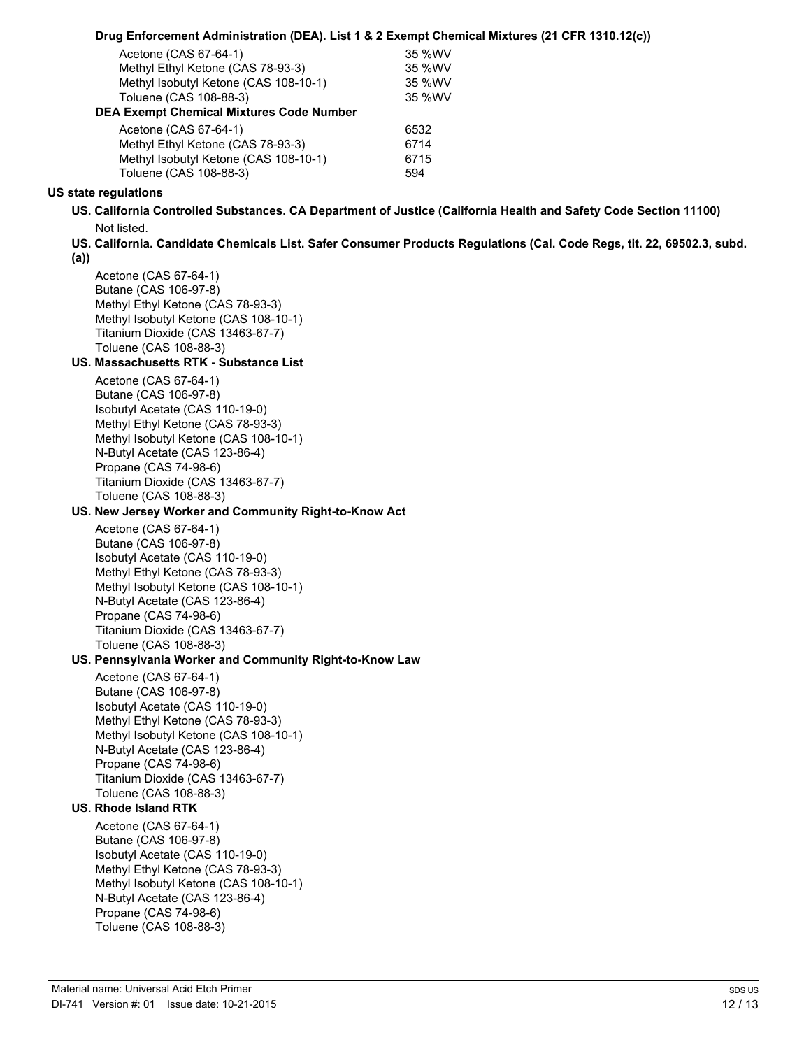| Drug Enforcement Administration (DEA). List 1 & 2 Exempt Chemical Mixtures (21 CFR 1310.12(c)) |  |  |  |  |
|------------------------------------------------------------------------------------------------|--|--|--|--|
|------------------------------------------------------------------------------------------------|--|--|--|--|

| Acetone (CAS 67-64-1)                    | 35 %WV |
|------------------------------------------|--------|
| Methyl Ethyl Ketone (CAS 78-93-3)        | 35 %WV |
| Methyl Isobutyl Ketone (CAS 108-10-1)    | 35 %WV |
| Toluene (CAS 108-88-3)                   | 35 %WV |
| DEA Exempt Chemical Mixtures Code Number |        |
| Acetone $(CAS 67-64-1)$                  | 6532   |

| 6532 |
|------|
| 6714 |
| 6715 |
| 594  |
|      |

### **US state regulations**

- **US. California Controlled Substances. CA Department of Justice (California Health and Safety Code Section 11100)** Not listed.
- **US. California. Candidate Chemicals List. Safer Consumer Products Regulations (Cal. Code Regs, tit. 22, 69502.3, subd.**
- **(a))**

Acetone (CAS 67-64-1) Butane (CAS 106-97-8) Methyl Ethyl Ketone (CAS 78-93-3) Methyl Isobutyl Ketone (CAS 108-10-1) Titanium Dioxide (CAS 13463-67-7) Toluene (CAS 108-88-3)

# **US. Massachusetts RTK - Substance List**

Acetone (CAS 67-64-1) Butane (CAS 106-97-8) Isobutyl Acetate (CAS 110-19-0) Methyl Ethyl Ketone (CAS 78-93-3) Methyl Isobutyl Ketone (CAS 108-10-1) N-Butyl Acetate (CAS 123-86-4) Propane (CAS 74-98-6) Titanium Dioxide (CAS 13463-67-7) Toluene (CAS 108-88-3)

# **US. New Jersey Worker and Community Right-to-Know Act**

Acetone (CAS 67-64-1) Butane (CAS 106-97-8) Isobutyl Acetate (CAS 110-19-0) Methyl Ethyl Ketone (CAS 78-93-3) Methyl Isobutyl Ketone (CAS 108-10-1) N-Butyl Acetate (CAS 123-86-4) Propane (CAS 74-98-6) Titanium Dioxide (CAS 13463-67-7) Toluene (CAS 108-88-3)

# **US. Pennsylvania Worker and Community Right-to-Know Law**

Acetone (CAS 67-64-1) Butane (CAS 106-97-8) Isobutyl Acetate (CAS 110-19-0) Methyl Ethyl Ketone (CAS 78-93-3) Methyl Isobutyl Ketone (CAS 108-10-1) N-Butyl Acetate (CAS 123-86-4) Propane (CAS 74-98-6) Titanium Dioxide (CAS 13463-67-7) Toluene (CAS 108-88-3)

# **US. Rhode Island RTK**

Acetone (CAS 67-64-1) Butane (CAS 106-97-8) Isobutyl Acetate (CAS 110-19-0) Methyl Ethyl Ketone (CAS 78-93-3) Methyl Isobutyl Ketone (CAS 108-10-1) N-Butyl Acetate (CAS 123-86-4) Propane (CAS 74-98-6) Toluene (CAS 108-88-3)